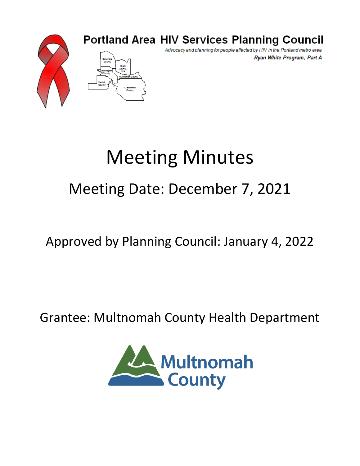

### **Portland Area HIV Services Planning Council**

Advocacy and planning for people affected by HIV in the Portland metro area Ryan White Program, Part A

# Meeting Minutes

## Meeting Date: December 7, 2021

### Approved by Planning Council: January 4, 2022

### Grantee: Multnomah County Health Department

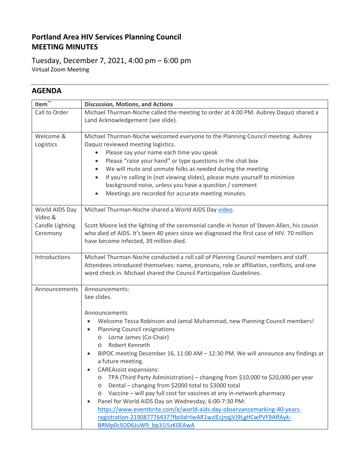#### **Portland Area HIV Services Planning Council MEETING MINUTES**

Tuesday, December 7, 2021, 4:00 pm – 6:00 pm Virtual Zoom Meeting

#### **AGENDA**

| $***$<br>Item <sup>®</sup>                               | <b>Discussion, Motions, and Actions</b>                                                                                                                                                                                                                                                                                                                                                                                                                                                                                                                                                                                                                                                                                                                                                                                                                                                                |  |  |  |  |  |
|----------------------------------------------------------|--------------------------------------------------------------------------------------------------------------------------------------------------------------------------------------------------------------------------------------------------------------------------------------------------------------------------------------------------------------------------------------------------------------------------------------------------------------------------------------------------------------------------------------------------------------------------------------------------------------------------------------------------------------------------------------------------------------------------------------------------------------------------------------------------------------------------------------------------------------------------------------------------------|--|--|--|--|--|
| Call to Order                                            | Michael Thurman-Noche called the meeting to order at 4:00 PM. Aubrey Daquiz shared a<br>Land Acknowledgement (see slide).                                                                                                                                                                                                                                                                                                                                                                                                                                                                                                                                                                                                                                                                                                                                                                              |  |  |  |  |  |
| Welcome &<br>Logistics                                   | Michael Thurman-Noche welcomed everyone to the Planning Council meeting. Aubrey<br>Daquiz reviewed meeting logistics.<br>Please say your name each time you speak<br>٠<br>Please "raise your hand" or type questions in the chat box<br>٠<br>We will mute and unmute folks as needed during the meeting<br>$\bullet$<br>If you're calling in (not viewing slides), please mute yourself to minimize<br>$\bullet$<br>background noise, unless you have a question / comment<br>Meetings are recorded for accurate meeting minutes.<br>$\bullet$                                                                                                                                                                                                                                                                                                                                                         |  |  |  |  |  |
| World AIDS Day<br>Video &<br>Candle Lighting<br>Ceremony | Michael Thurman-Noche shared a World AIDS Day video.<br>Scott Moore led the lighting of the ceremonial candle in honor of Steven Allen, his cousin<br>who died of AIDS. It's been 40 years since we diagnosed the first case of HIV. 70 million<br>have become infected, 39 million died.                                                                                                                                                                                                                                                                                                                                                                                                                                                                                                                                                                                                              |  |  |  |  |  |
| Introductions                                            | Michael Thurman-Noche conducted a roll call of Planning Council members and staff.<br>Attendees introduced themselves: name, pronouns, role or affiliation, conflicts, and one<br>word check in. Michael shared the Council Participation Guidelines.                                                                                                                                                                                                                                                                                                                                                                                                                                                                                                                                                                                                                                                  |  |  |  |  |  |
| Announcements                                            | Announcements:<br>See slides.<br>Announcements<br>Welcome Tessa Robinson and Jamal Muhammad, new Planning Council members!<br>$\bullet$<br><b>Planning Council resignations</b><br>$\bullet$<br>Lorne James (Co-Chair)<br>$\circ$<br>Robert Kenneth<br>$\circ$<br>BIPOC meeting December 16, 11:00 AM $-$ 12:30 PM. We will announce any findings at<br>a future meeting.<br><b>CAREAssist expansions:</b><br>TPA (Third Party Administration) – changing from \$10,000 to \$20,000 per year<br>O<br>Dental - changing from \$2000 total to \$3000 total<br>$\circ$<br>Vaccine - will pay full cost for vaccines at any in-network pharmacy<br>O<br>Panel for World AIDS Day on Wednesday, 6:00-7:30 PM:<br>$\bullet$<br>https://www.eventbrite.com/e/world-aids-day-observancemarking-40-years-<br>registration-219087776437?fbclid=IwAR1wzIEcjnqjVJ9LgHCwPVF9AffAyk-<br>BRMp0cSOD6JuW9 bp31i5zK0EAwA |  |  |  |  |  |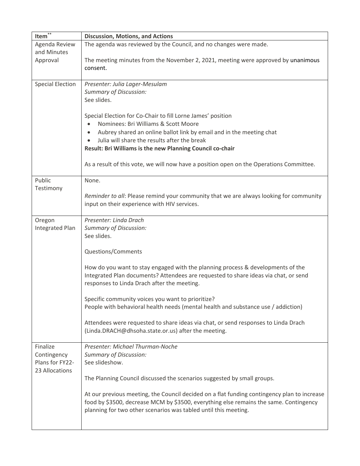| Item $*$                | <b>Discussion, Motions, and Actions</b>                                                             |  |  |  |  |  |  |
|-------------------------|-----------------------------------------------------------------------------------------------------|--|--|--|--|--|--|
| Agenda Review           | The agenda was reviewed by the Council, and no changes were made.                                   |  |  |  |  |  |  |
| and Minutes             |                                                                                                     |  |  |  |  |  |  |
| Approval                | The meeting minutes from the November 2, 2021, meeting were approved by unanimous                   |  |  |  |  |  |  |
|                         | consent.                                                                                            |  |  |  |  |  |  |
|                         |                                                                                                     |  |  |  |  |  |  |
| <b>Special Election</b> | Presenter: Julia Lager-Mesulam                                                                      |  |  |  |  |  |  |
|                         | <b>Summary of Discussion:</b>                                                                       |  |  |  |  |  |  |
|                         | See slides.                                                                                         |  |  |  |  |  |  |
|                         |                                                                                                     |  |  |  |  |  |  |
|                         | Special Election for Co-Chair to fill Lorne James' position<br>Nominees: Bri Williams & Scott Moore |  |  |  |  |  |  |
|                         | Aubrey shared an online ballot link by email and in the meeting chat<br>$\bullet$                   |  |  |  |  |  |  |
|                         | Julia will share the results after the break<br>$\bullet$                                           |  |  |  |  |  |  |
|                         | Result: Bri Williams is the new Planning Council co-chair                                           |  |  |  |  |  |  |
|                         |                                                                                                     |  |  |  |  |  |  |
|                         | As a result of this vote, we will now have a position open on the Operations Committee.             |  |  |  |  |  |  |
|                         |                                                                                                     |  |  |  |  |  |  |
| Public                  | None.                                                                                               |  |  |  |  |  |  |
| Testimony               |                                                                                                     |  |  |  |  |  |  |
|                         | Reminder to all: Please remind your community that we are always looking for community              |  |  |  |  |  |  |
|                         | input on their experience with HIV services.                                                        |  |  |  |  |  |  |
| Oregon                  | Presenter: Linda Drach                                                                              |  |  |  |  |  |  |
| Integrated Plan         | <b>Summary of Discussion:</b>                                                                       |  |  |  |  |  |  |
|                         | See slides.                                                                                         |  |  |  |  |  |  |
|                         |                                                                                                     |  |  |  |  |  |  |
|                         | Questions/Comments                                                                                  |  |  |  |  |  |  |
|                         |                                                                                                     |  |  |  |  |  |  |
|                         | How do you want to stay engaged with the planning process & developments of the                     |  |  |  |  |  |  |
|                         | Integrated Plan documents? Attendees are requested to share ideas via chat, or send                 |  |  |  |  |  |  |
|                         | responses to Linda Drach after the meeting.                                                         |  |  |  |  |  |  |
|                         | Specific community voices you want to prioritize?                                                   |  |  |  |  |  |  |
|                         | People with behavioral health needs (mental health and substance use / addiction)                   |  |  |  |  |  |  |
|                         |                                                                                                     |  |  |  |  |  |  |
|                         | Attendees were requested to share ideas via chat, or send responses to Linda Drach                  |  |  |  |  |  |  |
|                         | (Linda.DRACH@dhsoha.state.or.us) after the meeting.                                                 |  |  |  |  |  |  |
|                         |                                                                                                     |  |  |  |  |  |  |
| Finalize                | Presenter: Michael Thurman-Noche                                                                    |  |  |  |  |  |  |
| Contingency             | <b>Summary of Discussion:</b>                                                                       |  |  |  |  |  |  |
| Plans for FY22-         | See slideshow.                                                                                      |  |  |  |  |  |  |
| 23 Allocations          |                                                                                                     |  |  |  |  |  |  |
|                         | The Planning Council discussed the scenarios suggested by small groups.                             |  |  |  |  |  |  |
|                         | At our previous meeting, the Council decided on a flat funding contingency plan to increase         |  |  |  |  |  |  |
|                         | food by \$3500, decrease MCM by \$3500, everything else remains the same. Contingency               |  |  |  |  |  |  |
|                         | planning for two other scenarios was tabled until this meeting.                                     |  |  |  |  |  |  |
|                         |                                                                                                     |  |  |  |  |  |  |
|                         |                                                                                                     |  |  |  |  |  |  |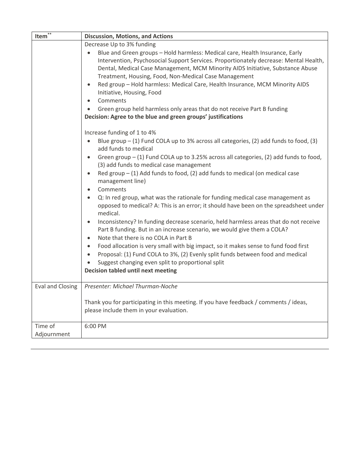| Item $*$               | <b>Discussion, Motions, and Actions</b>                                                                                                                                                                                                                                                                                                                                                                                                                                                                                                                                                                                                                                                                                                                                                                                                                                                                                                                                                                                                                                                                                                                                                                                                                                                                                                                                                                                                                                                                                                                                                                                                                                                                                                                                                                                                                                        |  |  |  |  |  |  |
|------------------------|--------------------------------------------------------------------------------------------------------------------------------------------------------------------------------------------------------------------------------------------------------------------------------------------------------------------------------------------------------------------------------------------------------------------------------------------------------------------------------------------------------------------------------------------------------------------------------------------------------------------------------------------------------------------------------------------------------------------------------------------------------------------------------------------------------------------------------------------------------------------------------------------------------------------------------------------------------------------------------------------------------------------------------------------------------------------------------------------------------------------------------------------------------------------------------------------------------------------------------------------------------------------------------------------------------------------------------------------------------------------------------------------------------------------------------------------------------------------------------------------------------------------------------------------------------------------------------------------------------------------------------------------------------------------------------------------------------------------------------------------------------------------------------------------------------------------------------------------------------------------------------|--|--|--|--|--|--|
|                        | Decrease Up to 3% funding<br>Blue and Green groups - Hold harmless: Medical care, Health Insurance, Early<br>$\bullet$<br>Intervention, Psychosocial Support Services. Proportionately decrease: Mental Health,<br>Dental, Medical Case Management, MCM Minority AIDS Initiative, Substance Abuse<br>Treatment, Housing, Food, Non-Medical Case Management<br>Red group - Hold harmless: Medical Care, Health Insurance, MCM Minority AIDS<br>$\bullet$<br>Initiative, Housing, Food<br>Comments<br>$\bullet$<br>Green group held harmless only areas that do not receive Part B funding<br>$\bullet$<br>Decision: Agree to the blue and green groups' justifications<br>Increase funding of 1 to 4%<br>Blue group - (1) Fund COLA up to 3% across all categories, (2) add funds to food, (3)<br>$\bullet$<br>add funds to medical<br>Green group - (1) Fund COLA up to 3.25% across all categories, (2) add funds to food,<br>$\bullet$<br>(3) add funds to medical case management<br>Red group $-$ (1) Add funds to food, (2) add funds to medical (on medical case<br>$\bullet$<br>management line)<br>Comments<br>$\bullet$<br>Q: In red group, what was the rationale for funding medical case management as<br>$\bullet$<br>opposed to medical? A: This is an error; it should have been on the spreadsheet under<br>medical.<br>Inconsistency? In funding decrease scenario, held harmless areas that do not receive<br>$\bullet$<br>Part B funding. But in an increase scenario, we would give them a COLA?<br>Note that there is no COLA in Part B<br>$\bullet$<br>Food allocation is very small with big impact, so it makes sense to fund food first<br>$\bullet$<br>Proposal: (1) Fund COLA to 3%, (2) Evenly split funds between food and medical<br>$\bullet$<br>Suggest changing even split to proportional split<br><b>Decision tabled until next meeting</b> |  |  |  |  |  |  |
| Eval and Closing       | Presenter: Michael Thurman-Noche                                                                                                                                                                                                                                                                                                                                                                                                                                                                                                                                                                                                                                                                                                                                                                                                                                                                                                                                                                                                                                                                                                                                                                                                                                                                                                                                                                                                                                                                                                                                                                                                                                                                                                                                                                                                                                               |  |  |  |  |  |  |
|                        | Thank you for participating in this meeting. If you have feedback / comments / ideas,<br>please include them in your evaluation.                                                                                                                                                                                                                                                                                                                                                                                                                                                                                                                                                                                                                                                                                                                                                                                                                                                                                                                                                                                                                                                                                                                                                                                                                                                                                                                                                                                                                                                                                                                                                                                                                                                                                                                                               |  |  |  |  |  |  |
| Time of<br>Adjournment | 6:00 PM                                                                                                                                                                                                                                                                                                                                                                                                                                                                                                                                                                                                                                                                                                                                                                                                                                                                                                                                                                                                                                                                                                                                                                                                                                                                                                                                                                                                                                                                                                                                                                                                                                                                                                                                                                                                                                                                        |  |  |  |  |  |  |